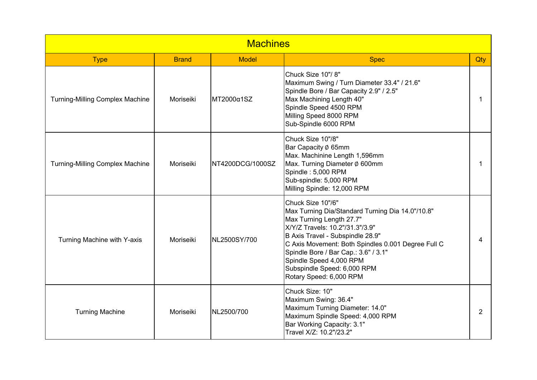| <b>Machines</b>                        |              |                  |                                                                                                                                                                                                                                                                                                                                                             |     |  |
|----------------------------------------|--------------|------------------|-------------------------------------------------------------------------------------------------------------------------------------------------------------------------------------------------------------------------------------------------------------------------------------------------------------------------------------------------------------|-----|--|
| <b>Type</b>                            | <b>Brand</b> | <b>Model</b>     | <b>Spec</b>                                                                                                                                                                                                                                                                                                                                                 | Qty |  |
| <b>Turning-Milling Complex Machine</b> | Moriseiki    | MT2000α1SZ       | Chuck Size 10"/8"<br>Maximum Swing / Turn Diameter 33.4" / 21.6"<br>Spindle Bore / Bar Capacity 2.9" / 2.5"<br>Max Machining Length 40"<br>Spindle Speed 4500 RPM<br>Milling Speed 8000 RPM<br>Sub-Spindle 6000 RPM                                                                                                                                         | 1   |  |
| <b>Turning-Milling Complex Machine</b> | Moriseiki    | NT4200DCG/1000SZ | Chuck Size 10"/8"<br>Bar Capacity Ø 65mm<br>Max. Machinine Length 1,596mm<br>Max. Turning Diameter Ø 600mm<br>Spindle: 5,000 RPM<br>Sub-spindle: 5,000 RPM<br>Milling Spindle: 12,000 RPM                                                                                                                                                                   | 1   |  |
| Turning Machine with Y-axis            | Moriseiki    | NL2500SY/700     | Chuck Size 10"/6"<br>Max Turning Dia/Standard Turning Dia 14.0"/10.8"<br>Max Turning Length 27.7"<br>X/Y/Z Travels: 10.2"/31.3"/3.9"<br>B Axis Travel - Subspindle 28.9"<br>C Axis Movement: Both Spindles 0.001 Degree Full C<br>Spindle Bore / Bar Cap.: 3.6" / 3.1"<br>Spindle Speed 4,000 RPM<br>Subspindle Speed: 6,000 RPM<br>Rotary Speed: 6,000 RPM | 4   |  |
| <b>Turning Machine</b>                 | Moriseiki    | NL2500/700       | Chuck Size: 10"<br>Maximum Swing: 36.4"<br>Maximum Turning Diameter: 14.0"<br>Maximum Spindle Speed: 4,000 RPM<br>Bar Working Capacity: 3.1"<br>Travel X/Z: 10.2"/23.2"                                                                                                                                                                                     | 2   |  |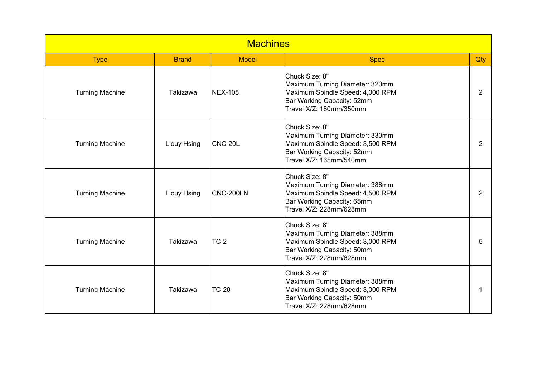| <b>Machines</b>        |                 |                |                                                                                                                                                |                |  |
|------------------------|-----------------|----------------|------------------------------------------------------------------------------------------------------------------------------------------------|----------------|--|
| <b>Type</b>            | <b>Brand</b>    | <b>Model</b>   | <b>Spec</b>                                                                                                                                    | Qty            |  |
| <b>Turning Machine</b> | <b>Takizawa</b> | <b>NEX-108</b> | Chuck Size: 8"<br>Maximum Turning Diameter: 320mm<br>Maximum Spindle Speed: 4,000 RPM<br>Bar Working Capacity: 52mm<br>Travel X/Z: 180mm/350mm | $\overline{2}$ |  |
| <b>Turning Machine</b> | Liouy Hsing     | CNC-20L        | Chuck Size: 8"<br>Maximum Turning Diameter: 330mm<br>Maximum Spindle Speed: 3,500 RPM<br>Bar Working Capacity: 52mm<br>Travel X/Z: 165mm/540mm | 2              |  |
| <b>Turning Machine</b> | Liouy Hsing     | CNC-200LN      | Chuck Size: 8"<br>Maximum Turning Diameter: 388mm<br>Maximum Spindle Speed: 4,500 RPM<br>Bar Working Capacity: 65mm<br>Travel X/Z: 228mm/628mm | 2              |  |
| <b>Turning Machine</b> | <b>Takizawa</b> | TC-2           | Chuck Size: 8"<br>Maximum Turning Diameter: 388mm<br>Maximum Spindle Speed: 3,000 RPM<br>Bar Working Capacity: 50mm<br>Travel X/Z: 228mm/628mm | 5              |  |
| <b>Turning Machine</b> | Takizawa        | <b>TC-20</b>   | Chuck Size: 8"<br>Maximum Turning Diameter: 388mm<br>Maximum Spindle Speed: 3,000 RPM<br>Bar Working Capacity: 50mm<br>Travel X/Z: 228mm/628mm |                |  |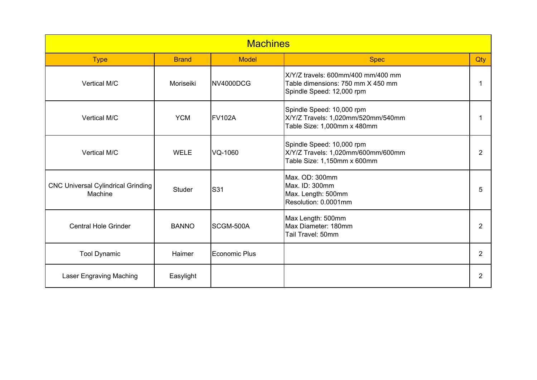| <b>Machines</b>                                      |              |               |                                                                                                      |                |  |
|------------------------------------------------------|--------------|---------------|------------------------------------------------------------------------------------------------------|----------------|--|
| <b>Type</b>                                          | <b>Brand</b> | <b>Model</b>  | <b>Spec</b>                                                                                          | Qty            |  |
| Vertical M/C                                         | Moriseiki    | NV4000DCG     | X/Y/Z travels: 600mm/400 mm/400 mm<br>Table dimensions: 750 mm X 450 mm<br>Spindle Speed: 12,000 rpm |                |  |
| Vertical M/C                                         | <b>YCM</b>   | <b>FV102A</b> | Spindle Speed: 10,000 rpm<br>X/Y/Z Travels: 1,020mm/520mm/540mm<br>Table Size: 1,000mm x 480mm       |                |  |
| Vertical M/C                                         | <b>WELE</b>  | VQ-1060       | Spindle Speed: 10,000 rpm<br>X/Y/Z Travels: 1,020mm/600mm/600mm<br>Table Size: 1,150mm x 600mm       | $\overline{2}$ |  |
| <b>CNC Universal Cylindrical Grinding</b><br>Machine | Studer       | S31           | Max. OD: 300mm<br>Max. ID: 300mm<br>Max. Length: 500mm<br>Resolution: 0.0001mm                       | 5              |  |
| <b>Central Hole Grinder</b>                          | <b>BANNO</b> | SCGM-500A     | Max Length: 500mm<br>Max Diameter: 180mm<br>Tail Travel: 50mm                                        | 2              |  |
| <b>Tool Dynamic</b>                                  | Haimer       | Economic Plus |                                                                                                      | 2              |  |
| Laser Engraving Maching                              | Easylight    |               |                                                                                                      | 2              |  |